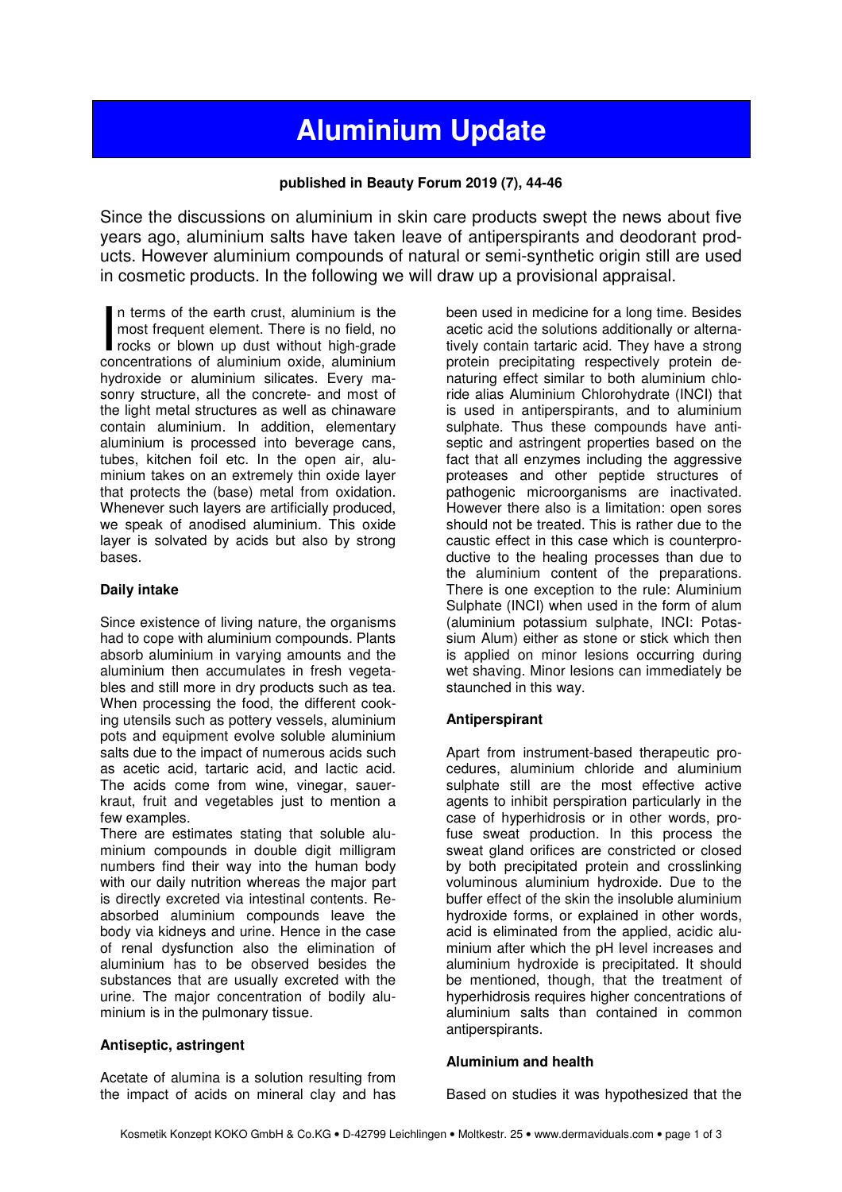# **Aluminium Update**

### **published in Beauty Forum 2019 (7), 44-46**

Since the discussions on aluminium in skin care products swept the news about five years ago, aluminium salts have taken leave of antiperspirants and deodorant products. However aluminium compounds of natural or semi-synthetic origin still are used in cosmetic products. In the following we will draw up a provisional appraisal.

n terms of the earth crust, aluminium is the most frequent element. There is no field, no In terms of the earth crust, aluminium is the<br>most frequent element. There is no field, no<br>rocks or blown up dust without high-grade<br>concentrations of aluminium oxide aluminium concentrations of aluminium oxide, aluminium hydroxide or aluminium silicates. Every masonry structure, all the concrete- and most of the light metal structures as well as chinaware contain aluminium. In addition, elementary aluminium is processed into beverage cans, tubes, kitchen foil etc. In the open air, aluminium takes on an extremely thin oxide layer that protects the (base) metal from oxidation. Whenever such layers are artificially produced, we speak of anodised aluminium. This oxide layer is solvated by acids but also by strong bases.

#### **Daily intake**

Since existence of living nature, the organisms had to cope with aluminium compounds. Plants absorb aluminium in varying amounts and the aluminium then accumulates in fresh vegetables and still more in dry products such as tea. When processing the food, the different cooking utensils such as pottery vessels, aluminium pots and equipment evolve soluble aluminium salts due to the impact of numerous acids such as acetic acid, tartaric acid, and lactic acid. The acids come from wine, vinegar, sauerkraut, fruit and vegetables just to mention a few examples.

There are estimates stating that soluble aluminium compounds in double digit milligram numbers find their way into the human body with our daily nutrition whereas the major part is directly excreted via intestinal contents. Reabsorbed aluminium compounds leave the body via kidneys and urine. Hence in the case of renal dysfunction also the elimination of aluminium has to be observed besides the substances that are usually excreted with the urine. The major concentration of bodily aluminium is in the pulmonary tissue.

#### **Antiseptic, astringent**

Acetate of alumina is a solution resulting from the impact of acids on mineral clay and has been used in medicine for a long time. Besides acetic acid the solutions additionally or alternatively contain tartaric acid. They have a strong protein precipitating respectively protein denaturing effect similar to both aluminium chloride alias Aluminium Chlorohydrate (INCI) that is used in antiperspirants, and to aluminium sulphate. Thus these compounds have antiseptic and astringent properties based on the fact that all enzymes including the aggressive proteases and other peptide structures of pathogenic microorganisms are inactivated. However there also is a limitation: open sores should not be treated. This is rather due to the caustic effect in this case which is counterproductive to the healing processes than due to the aluminium content of the preparations. There is one exception to the rule: Aluminium Sulphate (INCI) when used in the form of alum (aluminium potassium sulphate, INCI: Potassium Alum) either as stone or stick which then is applied on minor lesions occurring during wet shaving. Minor lesions can immediately be staunched in this way.

#### **Antiperspirant**

Apart from instrument-based therapeutic procedures, aluminium chloride and aluminium sulphate still are the most effective active agents to inhibit perspiration particularly in the case of hyperhidrosis or in other words, profuse sweat production. In this process the sweat gland orifices are constricted or closed by both precipitated protein and crosslinking voluminous aluminium hydroxide. Due to the buffer effect of the skin the insoluble aluminium hydroxide forms, or explained in other words, acid is eliminated from the applied, acidic aluminium after which the pH level increases and aluminium hydroxide is precipitated. It should be mentioned, though, that the treatment of hyperhidrosis requires higher concentrations of aluminium salts than contained in common antiperspirants.

#### **Aluminium and health**

Based on studies it was hypothesized that the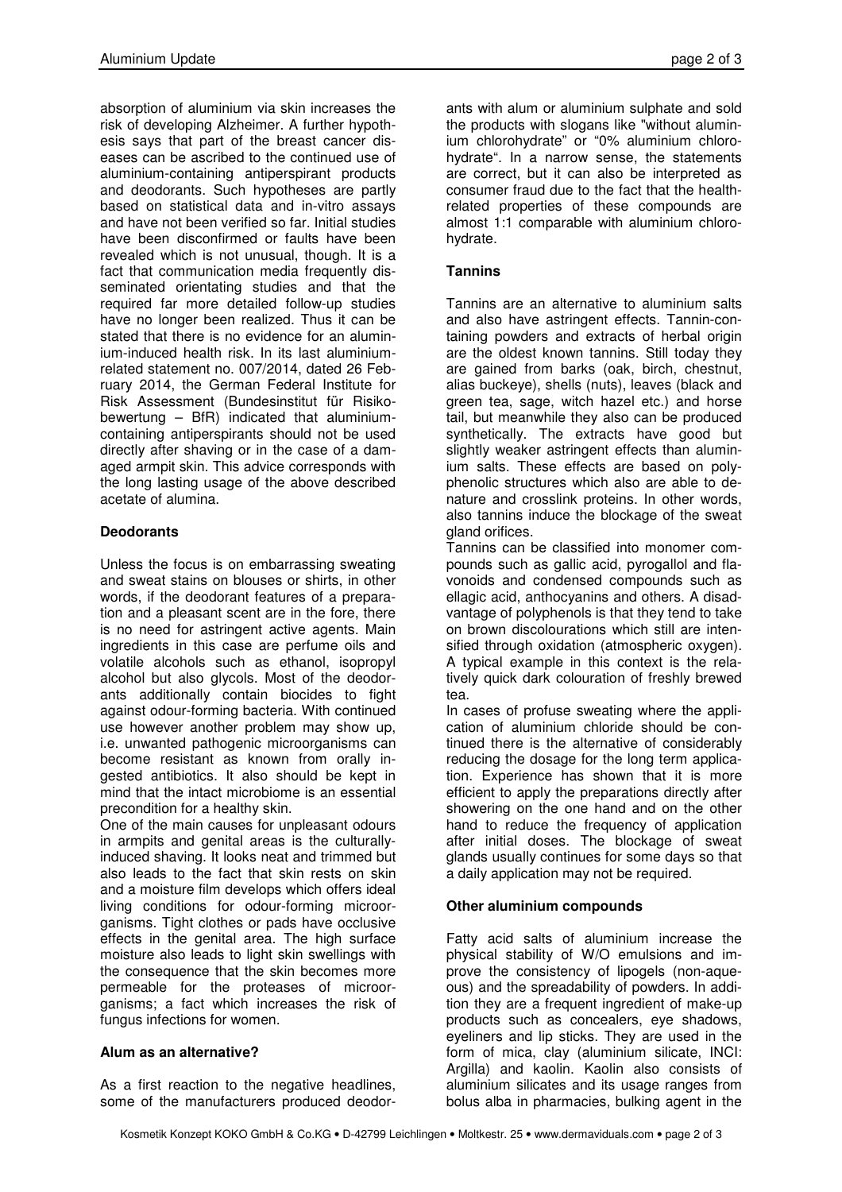absorption of aluminium via skin increases the risk of developing Alzheimer. A further hypothesis says that part of the breast cancer diseases can be ascribed to the continued use of aluminium-containing antiperspirant products and deodorants. Such hypotheses are partly based on statistical data and in-vitro assays and have not been verified so far. Initial studies have been disconfirmed or faults have been revealed which is not unusual, though. It is a fact that communication media frequently disseminated orientating studies and that the required far more detailed follow-up studies have no longer been realized. Thus it can be stated that there is no evidence for an aluminium-induced health risk. In its last aluminiumrelated statement no. 007/2014, dated 26 February 2014, the German Federal Institute for Risk Assessment (Bundesinstitut für Risikobewertung – BfR) indicated that aluminiumcontaining antiperspirants should not be used directly after shaving or in the case of a damaged armpit skin. This advice corresponds with the long lasting usage of the above described acetate of alumina.

## **Deodorants**

Unless the focus is on embarrassing sweating and sweat stains on blouses or shirts, in other words, if the deodorant features of a preparation and a pleasant scent are in the fore, there is no need for astringent active agents. Main ingredients in this case are perfume oils and volatile alcohols such as ethanol, isopropyl alcohol but also glycols. Most of the deodorants additionally contain biocides to fight against odour-forming bacteria. With continued use however another problem may show up, i.e. unwanted pathogenic microorganisms can become resistant as known from orally ingested antibiotics. It also should be kept in mind that the intact microbiome is an essential precondition for a healthy skin.

One of the main causes for unpleasant odours in armpits and genital areas is the culturallyinduced shaving. It looks neat and trimmed but also leads to the fact that skin rests on skin and a moisture film develops which offers ideal living conditions for odour-forming microorganisms. Tight clothes or pads have occlusive effects in the genital area. The high surface moisture also leads to light skin swellings with the consequence that the skin becomes more permeable for the proteases of microorganisms; a fact which increases the risk of fungus infections for women.

#### **Alum as an alternative?**

As a first reaction to the negative headlines, some of the manufacturers produced deodor-

ants with alum or aluminium sulphate and sold the products with slogans like "without aluminium chlorohydrate" or "0% aluminium chlorohydrate". In a narrow sense, the statements are correct, but it can also be interpreted as consumer fraud due to the fact that the healthrelated properties of these compounds are almost 1:1 comparable with aluminium chlorohydrate.

## **Tannins**

Tannins are an alternative to aluminium salts and also have astringent effects. Tannin-containing powders and extracts of herbal origin are the oldest known tannins. Still today they are gained from barks (oak, birch, chestnut, alias buckeye), shells (nuts), leaves (black and green tea, sage, witch hazel etc.) and horse tail, but meanwhile they also can be produced synthetically. The extracts have good but slightly weaker astringent effects than aluminium salts. These effects are based on polyphenolic structures which also are able to denature and crosslink proteins. In other words, also tannins induce the blockage of the sweat gland orifices.

Tannins can be classified into monomer compounds such as gallic acid, pyrogallol and flavonoids and condensed compounds such as ellagic acid, anthocyanins and others. A disadvantage of polyphenols is that they tend to take on brown discolourations which still are intensified through oxidation (atmospheric oxygen). A typical example in this context is the relatively quick dark colouration of freshly brewed tea.

In cases of profuse sweating where the application of aluminium chloride should be continued there is the alternative of considerably reducing the dosage for the long term application. Experience has shown that it is more efficient to apply the preparations directly after showering on the one hand and on the other hand to reduce the frequency of application after initial doses. The blockage of sweat glands usually continues for some days so that a daily application may not be required.

## **Other aluminium compounds**

Fatty acid salts of aluminium increase the physical stability of W/O emulsions and improve the consistency of lipogels (non-aqueous) and the spreadability of powders. In addition they are a frequent ingredient of make-up products such as concealers, eye shadows, eyeliners and lip sticks. They are used in the form of mica, clay (aluminium silicate, INCI: Argilla) and kaolin. Kaolin also consists of aluminium silicates and its usage ranges from bolus alba in pharmacies, bulking agent in the